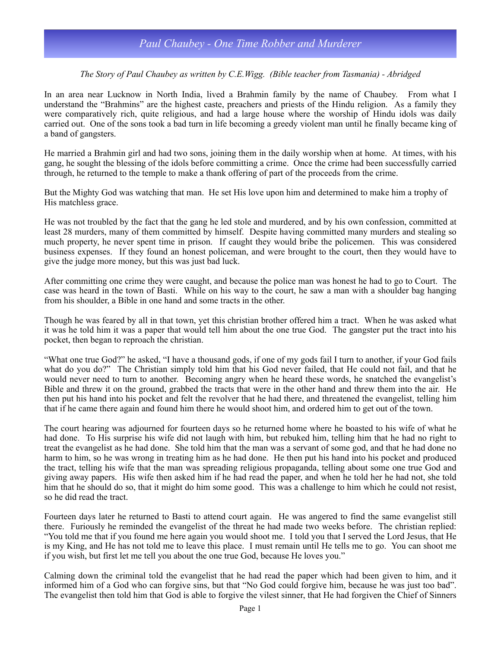## *Paul Chaubey - One Time Robber and Murderer*

## *The Story of Paul Chaubey as written by C.E.Wigg. (Bible teacher from Tasmania) - Abridged*

In an area near Lucknow in North India, lived a Brahmin family by the name of Chaubey. From what I understand the "Brahmins" are the highest caste, preachers and priests of the Hindu religion. As a family they were comparatively rich, quite religious, and had a large house where the worship of Hindu idols was daily carried out. One of the sons took a bad turn in life becoming a greedy violent man until he finally became king of a band of gangsters.

He married a Brahmin girl and had two sons, joining them in the daily worship when at home. At times, with his gang, he sought the blessing of the idols before committing a crime. Once the crime had been successfully carried through, he returned to the temple to make a thank offering of part of the proceeds from the crime.

But the Mighty God was watching that man. He set His love upon him and determined to make him a trophy of His matchless grace.

He was not troubled by the fact that the gang he led stole and murdered, and by his own confession, committed at least 28 murders, many of them committed by himself. Despite having committed many murders and stealing so much property, he never spent time in prison. If caught they would bribe the policemen. This was considered business expenses. If they found an honest policeman, and were brought to the court, then they would have to give the judge more money, but this was just bad luck.

After committing one crime they were caught, and because the police man was honest he had to go to Court. The case was heard in the town of Basti. While on his way to the court, he saw a man with a shoulder bag hanging from his shoulder, a Bible in one hand and some tracts in the other.

Though he was feared by all in that town, yet this christian brother offered him a tract. When he was asked what it was he told him it was a paper that would tell him about the one true God. The gangster put the tract into his pocket, then began to reproach the christian.

"What one true God?" he asked, "I have a thousand gods, if one of my gods fail I turn to another, if your God fails what do you do?" The Christian simply told him that his God never failed, that He could not fail, and that he would never need to turn to another. Becoming angry when he heard these words, he snatched the evangelist's Bible and threw it on the ground, grabbed the tracts that were in the other hand and threw them into the air. He then put his hand into his pocket and felt the revolver that he had there, and threatened the evangelist, telling him that if he came there again and found him there he would shoot him, and ordered him to get out of the town.

The court hearing was adjourned for fourteen days so he returned home where he boasted to his wife of what he had done. To His surprise his wife did not laugh with him, but rebuked him, telling him that he had no right to treat the evangelist as he had done. She told him that the man was a servant of some god, and that he had done no harm to him, so he was wrong in treating him as he had done. He then put his hand into his pocket and produced the tract, telling his wife that the man was spreading religious propaganda, telling about some one true God and giving away papers. His wife then asked him if he had read the paper, and when he told her he had not, she told him that he should do so, that it might do him some good. This was a challenge to him which he could not resist, so he did read the tract.

Fourteen days later he returned to Basti to attend court again. He was angered to find the same evangelist still there. Furiously he reminded the evangelist of the threat he had made two weeks before. The christian replied: "You told me that if you found me here again you would shoot me. I told you that I served the Lord Jesus, that He is my King, and He has not told me to leave this place. I must remain until He tells me to go. You can shoot me if you wish, but first let me tell you about the one true God, because He loves you."

Calming down the criminal told the evangelist that he had read the paper which had been given to him, and it informed him of a God who can forgive sins, but that "No God could forgive him, because he was just too bad". The evangelist then told him that God is able to forgive the vilest sinner, that He had forgiven the Chief of Sinners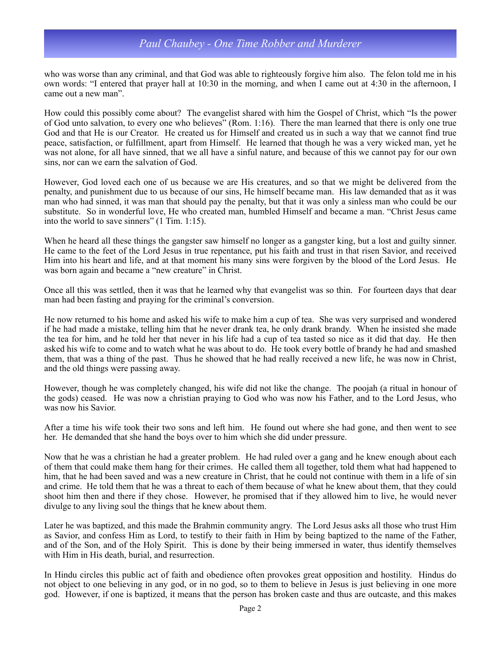## *Paul Chaubey - One Time Robber and Murderer*

who was worse than any criminal, and that God was able to righteously forgive him also. The felon told me in his own words: "I entered that prayer hall at 10:30 in the morning, and when I came out at 4:30 in the afternoon, I came out a new man".

How could this possibly come about? The evangelist shared with him the Gospel of Christ, which "Is the power of God unto salvation, to every one who believes" (Rom. 1:16). There the man learned that there is only one true God and that He is our Creator. He created us for Himself and created us in such a way that we cannot find true peace, satisfaction, or fulfillment, apart from Himself. He learned that though he was a very wicked man, yet he was not alone, for all have sinned, that we all have a sinful nature, and because of this we cannot pay for our own sins, nor can we earn the salvation of God.

However, God loved each one of us because we are His creatures, and so that we might be delivered from the penalty, and punishment due to us because of our sins, He himself became man. His law demanded that as it was man who had sinned, it was man that should pay the penalty, but that it was only a sinless man who could be our substitute. So in wonderful love, He who created man, humbled Himself and became a man. "Christ Jesus came into the world to save sinners" (1 Tim. 1:15).

When he heard all these things the gangster saw himself no longer as a gangster king, but a lost and guilty sinner. He came to the feet of the Lord Jesus in true repentance, put his faith and trust in that risen Savior, and received Him into his heart and life, and at that moment his many sins were forgiven by the blood of the Lord Jesus. He was born again and became a "new creature" in Christ.

Once all this was settled, then it was that he learned why that evangelist was so thin. For fourteen days that dear man had been fasting and praying for the criminal's conversion.

He now returned to his home and asked his wife to make him a cup of tea. She was very surprised and wondered if he had made a mistake, telling him that he never drank tea, he only drank brandy. When he insisted she made the tea for him, and he told her that never in his life had a cup of tea tasted so nice as it did that day. He then asked his wife to come and to watch what he was about to do. He took every bottle of brandy he had and smashed them, that was a thing of the past. Thus he showed that he had really received a new life, he was now in Christ, and the old things were passing away.

However, though he was completely changed, his wife did not like the change. The poojah (a ritual in honour of the gods) ceased. He was now a christian praying to God who was now his Father, and to the Lord Jesus, who was now his Savior.

After a time his wife took their two sons and left him. He found out where she had gone, and then went to see her. He demanded that she hand the boys over to him which she did under pressure.

Now that he was a christian he had a greater problem. He had ruled over a gang and he knew enough about each of them that could make them hang for their crimes. He called them all together, told them what had happened to him, that he had been saved and was a new creature in Christ, that he could not continue with them in a life of sin and crime. He told them that he was a threat to each of them because of what he knew about them, that they could shoot him then and there if they chose. However, he promised that if they allowed him to live, he would never divulge to any living soul the things that he knew about them.

Later he was baptized, and this made the Brahmin community angry. The Lord Jesus asks all those who trust Him as Savior, and confess Him as Lord, to testify to their faith in Him by being baptized to the name of the Father, and of the Son, and of the Holy Spirit. This is done by their being immersed in water, thus identify themselves with Him in His death, burial, and resurrection.

In Hindu circles this public act of faith and obedience often provokes great opposition and hostility. Hindus do not object to one believing in any god, or in no god, so to them to believe in Jesus is just believing in one more god. However, if one is baptized, it means that the person has broken caste and thus are outcaste, and this makes